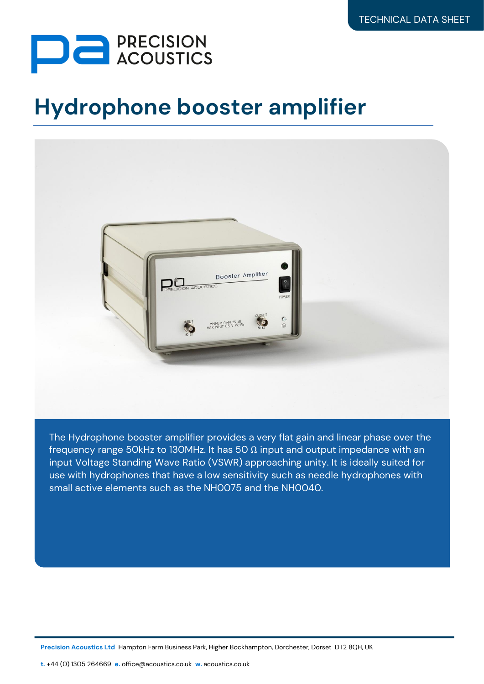

## **Hydrophone booster amplifier**



The Hydrophone booster amplifier provides a very flat gain and linear phase over the frequency range 50kHz to 130MHz. It has 50  $\Omega$  input and output impedance with an input Voltage Standing Wave Ratio (VSWR) approaching unity. It is ideally suited for use with hydrophones that have a low sensitivity such as needle hydrophones with small active elements such as the NH0075 and the NH0040.

**Precision Acoustics Ltd** Hampton Farm Business Park, Higher Bockhampton, Dorchester, Dorset DT2 8QH, UK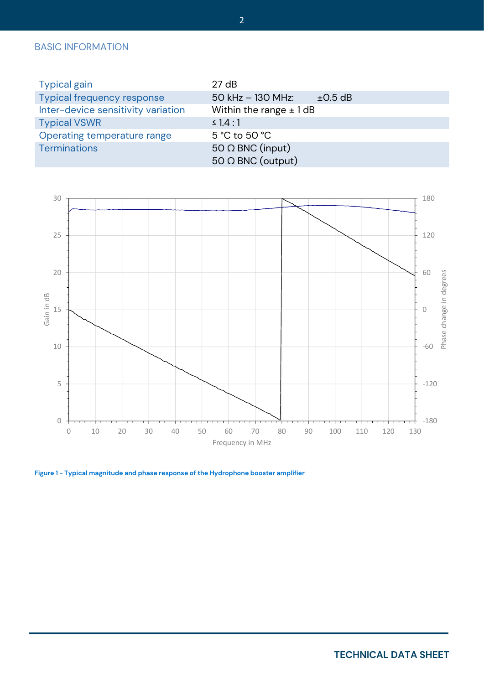## BASIC INFORMATION

| <b>Typical gain</b>                | 27 dB                            |              |
|------------------------------------|----------------------------------|--------------|
| <b>Typical frequency response</b>  | 50 kHz - 130 MHz:                | $\pm 0.5$ dB |
| Inter-device sensitivity variation | Within the range $\pm$ 1 dB      |              |
| <b>Typical VSWR</b>                | $\leq 1.4:1$                     |              |
| Operating temperature range        | $5^{\circ}$ C to 50 $^{\circ}$ C |              |
| <b>Terminations</b>                | 50 $\Omega$ BNC (input)          |              |
|                                    | $50 \Omega$ BNC (output)         |              |



**Figure 1 - Typical magnitude and phase response of the Hydrophone booster amplifier**